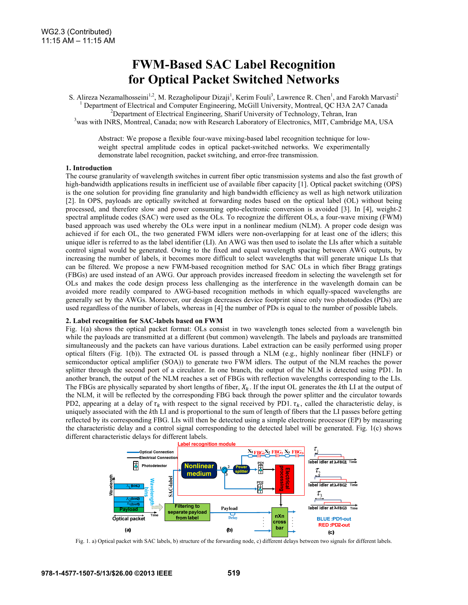# **FWM-Based SAC Label Recognition for Optical Packet Switched Networks**

S. Alireza Nezamalhosseini<sup>1,2</sup>, M. Rezagholipour Dizaji<sup>1</sup>, Kerim Fouli<sup>3</sup>, Lawrence R. Chen<sup>1</sup>, and Farokh Marvasti<sup>2</sup><br><sup>1</sup> Department of Electrical and Computer Engineering, McCill University, Martreal, OC U2A 2A7 Canod  $^1$  Department of Electrical and Computer Engineering, McGill University, Montreal, QC H3A 2A7 Canada  $^{2}$ Department of Electrical Engineering, Sharif University of Technology, Tehran, Iran <sup>3</sup> was with INRS, Montreal, Canada; now with Research Laboratory of Electronics, MIT, Cambridge MA, USA

Abstract: We propose a flexible four-wave mixing-based label recognition technique for lowweight spectral amplitude codes in optical packet-switched networks. We experimentally demonstrate label recognition, packet switching, and error-free transmission.

## **1. Introduction**

The course granularity of wavelength switches in current fiber optic transmission systems and also the fast growth of high-bandwidth applications results in inefficient use of available fiber capacity [1]. Optical packet switching (OPS) is the one solution for providing fine granularity and high bandwidth efficiency as well as high network utilization [2]. In OPS, payloads are optically switched at forwarding nodes based on the optical label (OL) without being processed, and therefore slow and power consuming opto-electronic conversion is avoided [3]. In [4], weight-2 spectral amplitude codes (SAC) were used as the OLs. To recognize the different OLs, a four-wave mixing (FWM) based approach was used whereby the OLs were input in a nonlinear medium (NLM). A proper code design was achieved if for each OL, the two generated FWM idlers were non-overlapping for at least one of the idlers; this unique idler is referred to as the label identifier (LI). An AWG was then used to isolate the LIs after which a suitable control signal would be generated. Owing to the fixed and equal wavelength spacing between AWG outputs, by increasing the number of labels, it becomes more difficult to select wavelengths that will generate unique LIs that can be filtered. We propose a new FWM-based recognition method for SAC OLs in which fiber Bragg gratings (FBGs) are used instead of an AWG. Our approach provides increased freedom in selecting the wavelength set for OLs and makes the code design process less challenging as the interference in the wavelength domain can be avoided more readily compared to AWG-based recognition methods in which equally-spaced wavelengths are generally set by the AWGs. Moreover, our design decreases device footprint since only two photodiodes (PDs) are used regardless of the number of labels, whereas in [4] the number of PDs is equal to the number of possible labels.

# **2. Label recognition for SAC-labels based on FWM**

Fig. 1(a) shows the optical packet format: OLs consist in two wavelength tones selected from a wavelength bin while the payloads are transmitted at a different (but common) wavelength. The labels and payloads are transmitted simultaneously and the packets can have various durations. Label extraction can be easily performed using proper optical filters (Fig. 1(b)). The extracted OL is passed through a NLM (e.g., highly nonlinear fiber (HNLF) or semiconductor optical amplifier (SOA)) to generate two FWM idlers. The output of the NLM reaches the power splitter through the second port of a circulator. In one branch, the output of the NLM is detected using PD1. In another branch, the output of the NLM reaches a set of FBGs with reflection wavelengths corresponding to the LIs. The FBGs are physically separated by short lengths of fiber,  $X_k$ . If the input OL generates the  $k$ th LI at the output of the NLM, it will be reflected by the corresponding FBG back through the power splitter and the circulator towards PD2, appearing at a delay of  $\tau_k$  with respect to the signal received by PD1.  $\tau_k$ , called the characteristic delay, is uniquely associated with the *k*th LI and is proportional to the sum of length of fibers that the LI passes before getting reflected by its corresponding FBG. LIs will then be detected using a simple electronic processor (EP) by measuring the characteristic delay and a control signal corresponding to the detected label will be generated. Fig. 1(c) shows different characteristic delays for different labels.



Fig. 1. a) Optical packet with SAC labels, b) structure of the forwarding node, c) different delays between two signals for different labels.